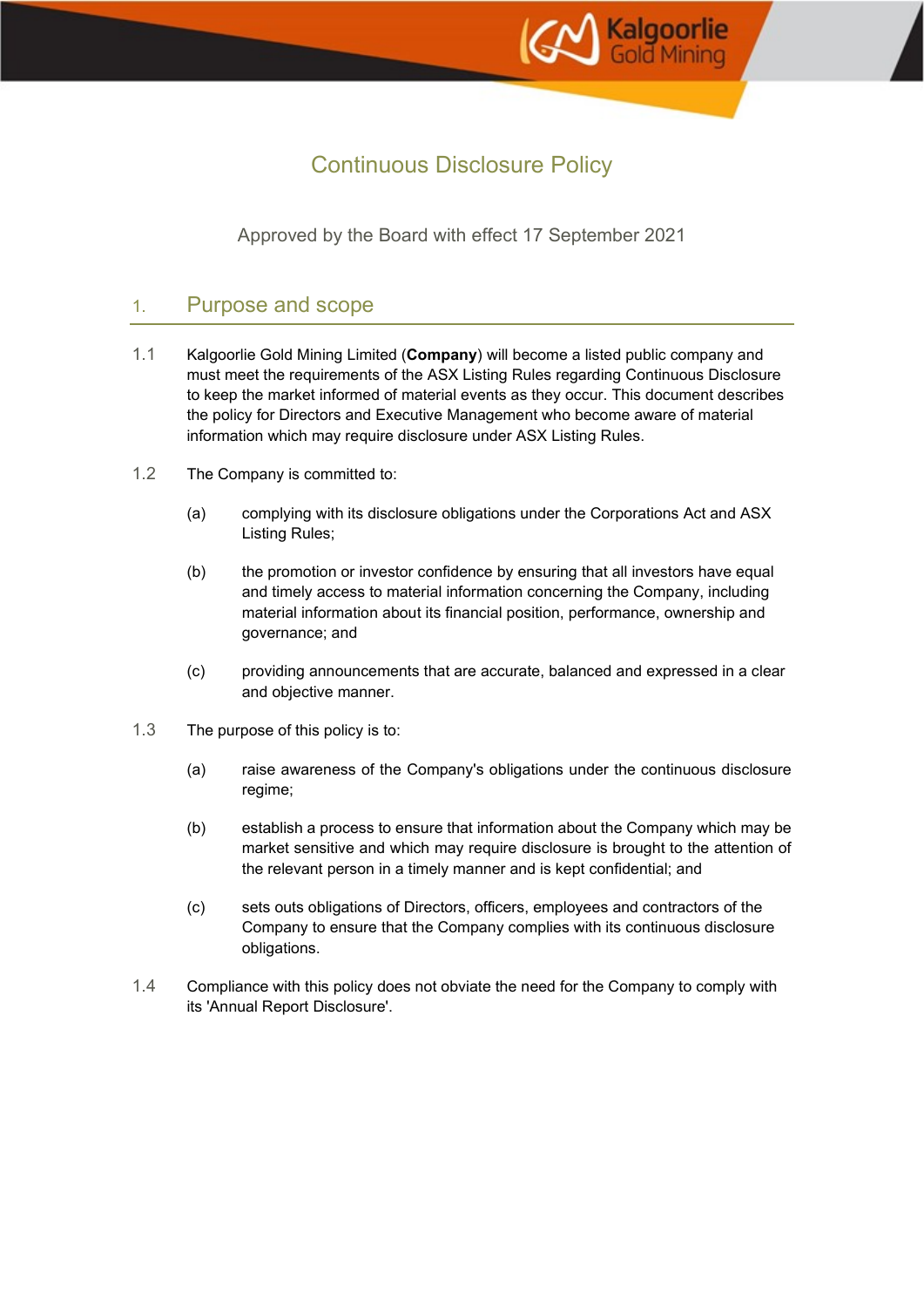

# Continuous Disclosure Policy

Approved by the Board with effect 17 September 2021

### 1. Purpose and scope

- 1.1 Kalgoorlie Gold Mining Limited (**Company**) will become a listed public company and must meet the requirements of the ASX Listing Rules regarding Continuous Disclosure to keep the market informed of material events as they occur. This document describes the policy for Directors and Executive Management who become aware of material information which may require disclosure under ASX Listing Rules.
- 1.2 The Company is committed to:
	- (a) complying with its disclosure obligations under the Corporations Act and ASX Listing Rules;
	- (b) the promotion or investor confidence by ensuring that all investors have equal and timely access to material information concerning the Company, including material information about its financial position, performance, ownership and governance; and
	- (c) providing announcements that are accurate, balanced and expressed in a clear and objective manner.
- 1.3 The purpose of this policy is to:
	- (a) raise awareness of the Company's obligations under the continuous disclosure regime;
	- (b) establish a process to ensure that information about the Company which may be market sensitive and which may require disclosure is brought to the attention of the relevant person in a timely manner and is kept confidential; and
	- (c) sets outs obligations of Directors, officers, employees and contractors of the Company to ensure that the Company complies with its continuous disclosure obligations.
- 1.4 Compliance with this policy does not obviate the need for the Company to comply with its 'Annual Report Disclosure'.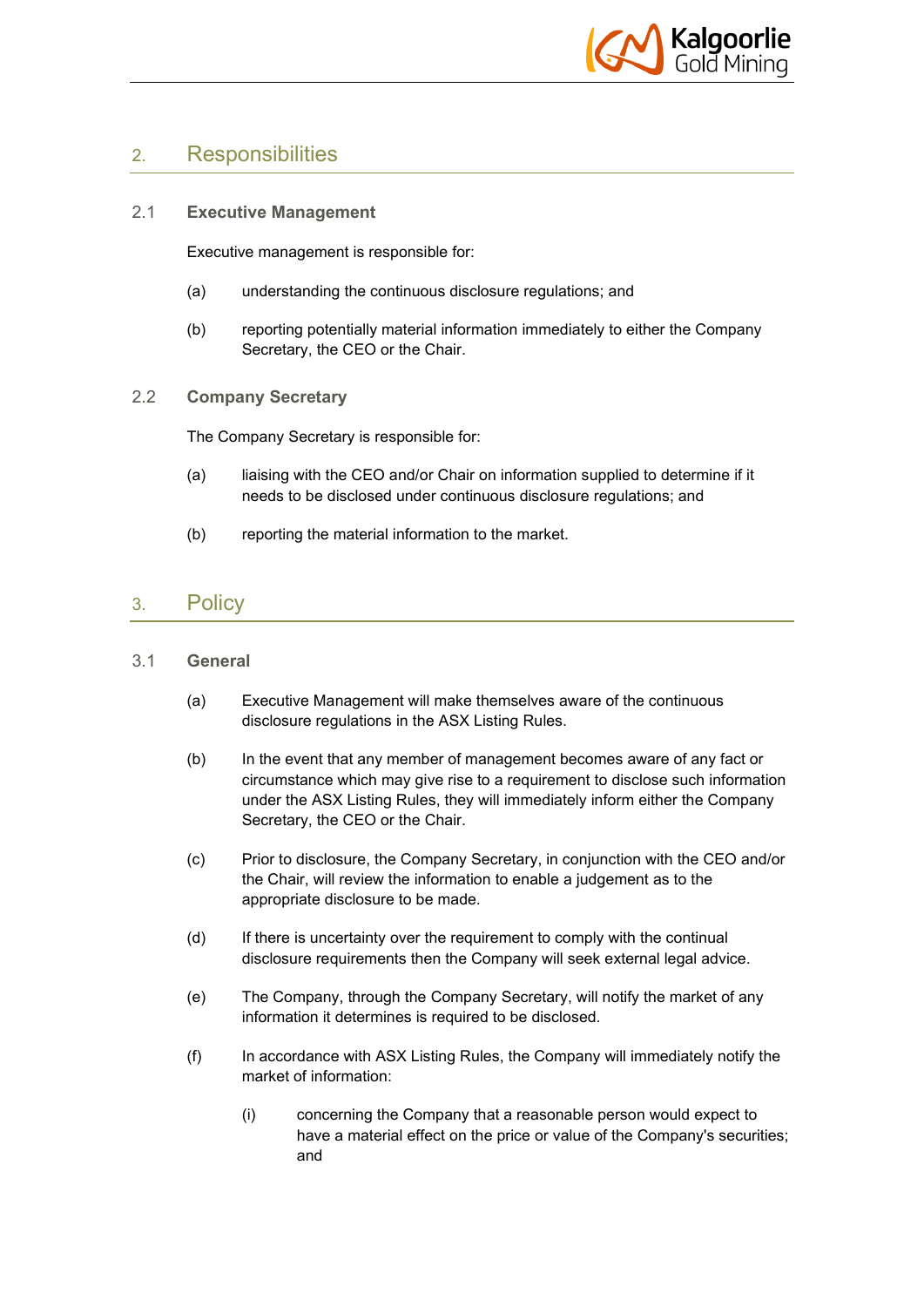

# 2. Responsibilities

#### 2.1 **Executive Management**

Executive management is responsible for:

- (a) understanding the continuous disclosure regulations; and
- (b) reporting potentially material information immediately to either the Company Secretary, the CEO or the Chair.
- 2.2 **Company Secretary**

The Company Secretary is responsible for:

- (a) liaising with the CEO and/or Chair on information supplied to determine if it needs to be disclosed under continuous disclosure regulations; and
- (b) reporting the material information to the market.

### 3. Policy

#### 3.1 **General**

- (a) Executive Management will make themselves aware of the continuous disclosure regulations in the ASX Listing Rules.
- (b) In the event that any member of management becomes aware of any fact or circumstance which may give rise to a requirement to disclose such information under the ASX Listing Rules, they will immediately inform either the Company Secretary, the CEO or the Chair.
- (c) Prior to disclosure, the Company Secretary, in conjunction with the CEO and/or the Chair, will review the information to enable a judgement as to the appropriate disclosure to be made.
- (d) If there is uncertainty over the requirement to comply with the continual disclosure requirements then the Company will seek external legal advice.
- (e) The Company, through the Company Secretary, will notify the market of any information it determines is required to be disclosed.
- (f) In accordance with ASX Listing Rules, the Company will immediately notify the market of information:
	- (i) concerning the Company that a reasonable person would expect to have a material effect on the price or value of the Company's securities; and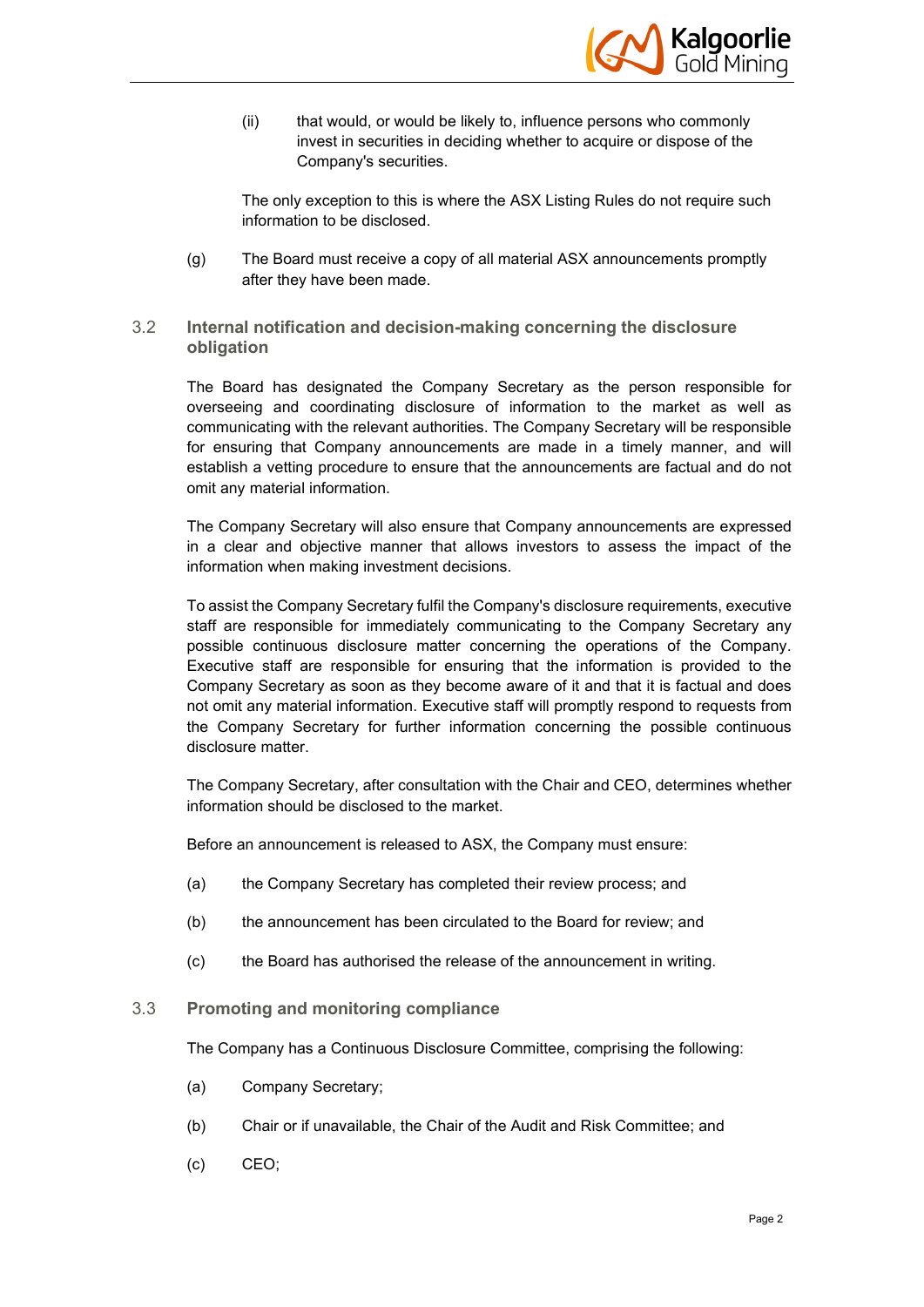

(ii) that would, or would be likely to, influence persons who commonly invest in securities in deciding whether to acquire or dispose of the Company's securities.

The only exception to this is where the ASX Listing Rules do not require such information to be disclosed.

(g) The Board must receive a copy of all material ASX announcements promptly after they have been made.

#### 3.2 **Internal notification and decision-making concerning the disclosure obligation**

The Board has designated the Company Secretary as the person responsible for overseeing and coordinating disclosure of information to the market as well as communicating with the relevant authorities. The Company Secretary will be responsible for ensuring that Company announcements are made in a timely manner, and will establish a vetting procedure to ensure that the announcements are factual and do not omit any material information.

The Company Secretary will also ensure that Company announcements are expressed in a clear and objective manner that allows investors to assess the impact of the information when making investment decisions.

To assist the Company Secretary fulfil the Company's disclosure requirements, executive staff are responsible for immediately communicating to the Company Secretary any possible continuous disclosure matter concerning the operations of the Company. Executive staff are responsible for ensuring that the information is provided to the Company Secretary as soon as they become aware of it and that it is factual and does not omit any material information. Executive staff will promptly respond to requests from the Company Secretary for further information concerning the possible continuous disclosure matter.

The Company Secretary, after consultation with the Chair and CEO, determines whether information should be disclosed to the market.

Before an announcement is released to ASX, the Company must ensure:

- (a) the Company Secretary has completed their review process; and
- (b) the announcement has been circulated to the Board for review; and
- (c) the Board has authorised the release of the announcement in writing.

#### 3.3 **Promoting and monitoring compliance**

The Company has a Continuous Disclosure Committee, comprising the following:

- (a) Company Secretary;
- (b) Chair or if unavailable, the Chair of the Audit and Risk Committee; and
- (c) CEO;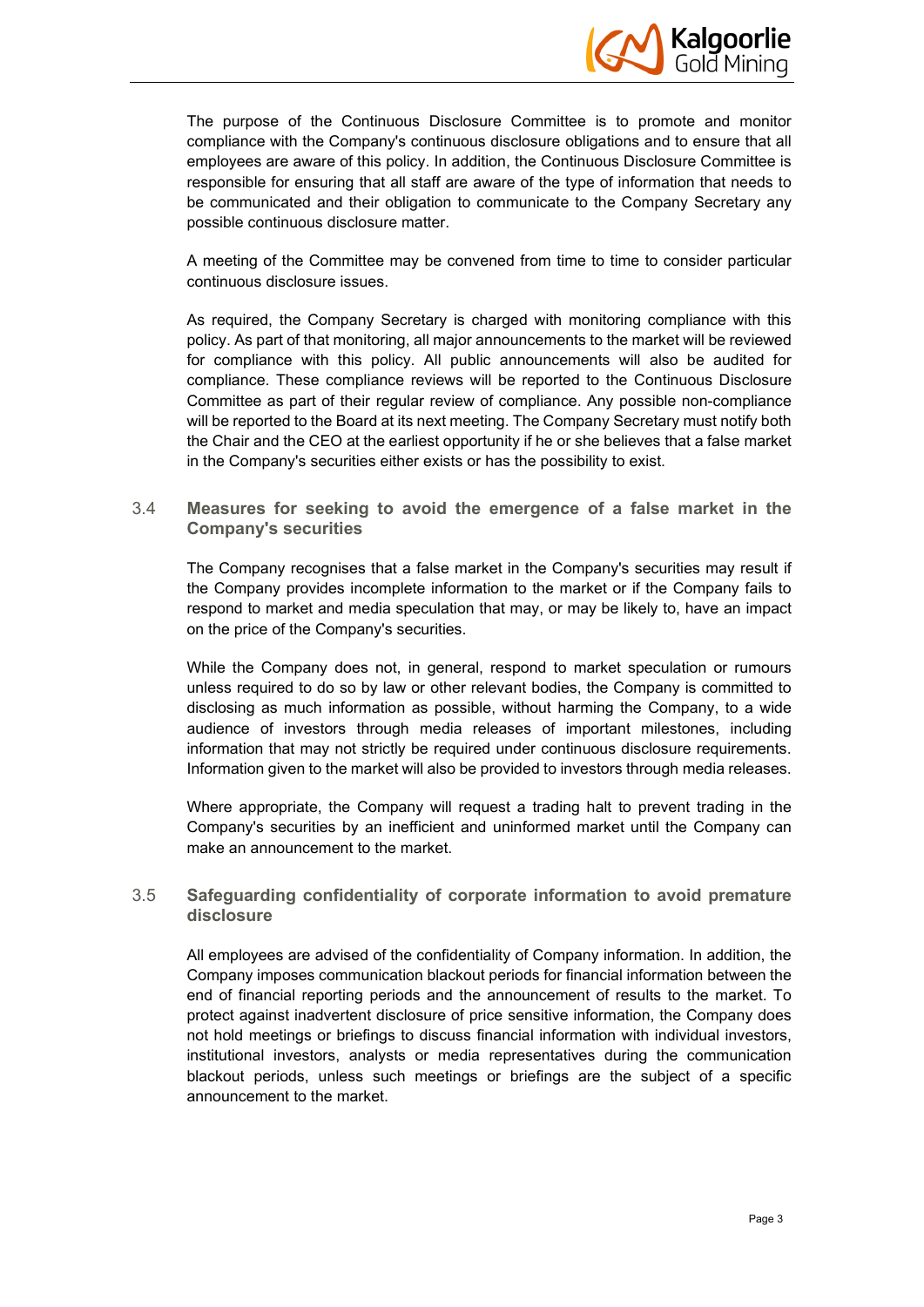

The purpose of the Continuous Disclosure Committee is to promote and monitor compliance with the Company's continuous disclosure obligations and to ensure that all employees are aware of this policy. In addition, the Continuous Disclosure Committee is responsible for ensuring that all staff are aware of the type of information that needs to be communicated and their obligation to communicate to the Company Secretary any possible continuous disclosure matter.

A meeting of the Committee may be convened from time to time to consider particular continuous disclosure issues.

As required, the Company Secretary is charged with monitoring compliance with this policy. As part of that monitoring, all major announcements to the market will be reviewed for compliance with this policy. All public announcements will also be audited for compliance. These compliance reviews will be reported to the Continuous Disclosure Committee as part of their regular review of compliance. Any possible non-compliance will be reported to the Board at its next meeting. The Company Secretary must notify both the Chair and the CEO at the earliest opportunity if he or she believes that a false market in the Company's securities either exists or has the possibility to exist.

#### 3.4 **Measures for seeking to avoid the emergence of a false market in the Company's securities**

The Company recognises that a false market in the Company's securities may result if the Company provides incomplete information to the market or if the Company fails to respond to market and media speculation that may, or may be likely to, have an impact on the price of the Company's securities.

While the Company does not, in general, respond to market speculation or rumours unless required to do so by law or other relevant bodies, the Company is committed to disclosing as much information as possible, without harming the Company, to a wide audience of investors through media releases of important milestones, including information that may not strictly be required under continuous disclosure requirements. Information given to the market will also be provided to investors through media releases.

Where appropriate, the Company will request a trading halt to prevent trading in the Company's securities by an inefficient and uninformed market until the Company can make an announcement to the market.

#### 3.5 **Safeguarding confidentiality of corporate information to avoid premature disclosure**

All employees are advised of the confidentiality of Company information. In addition, the Company imposes communication blackout periods for financial information between the end of financial reporting periods and the announcement of results to the market. To protect against inadvertent disclosure of price sensitive information, the Company does not hold meetings or briefings to discuss financial information with individual investors, institutional investors, analysts or media representatives during the communication blackout periods, unless such meetings or briefings are the subject of a specific announcement to the market.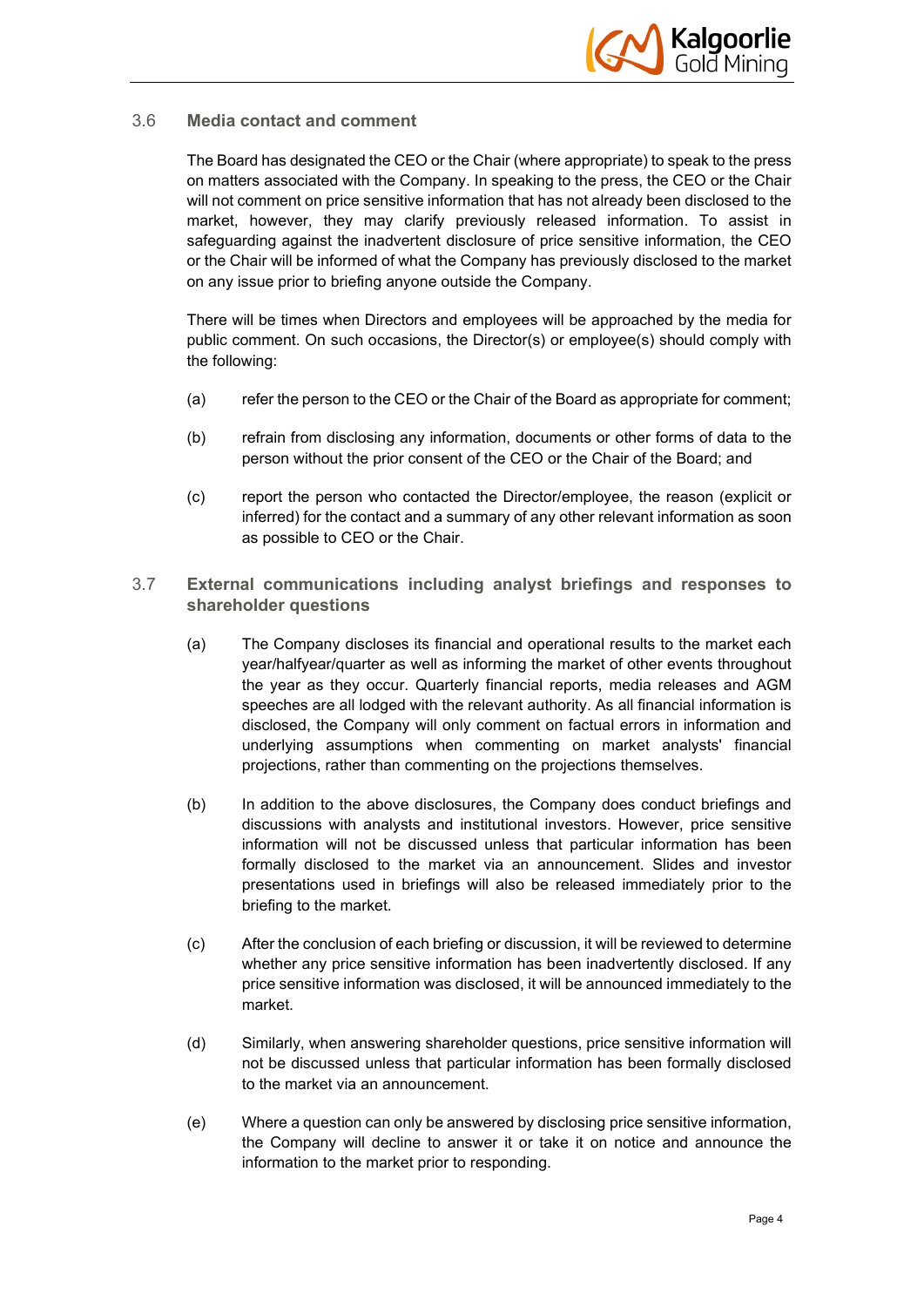

#### 3.6 **Media contact and comment**

The Board has designated the CEO or the Chair (where appropriate) to speak to the press on matters associated with the Company. In speaking to the press, the CEO or the Chair will not comment on price sensitive information that has not already been disclosed to the market, however, they may clarify previously released information. To assist in safeguarding against the inadvertent disclosure of price sensitive information, the CEO or the Chair will be informed of what the Company has previously disclosed to the market on any issue prior to briefing anyone outside the Company.

There will be times when Directors and employees will be approached by the media for public comment. On such occasions, the Director(s) or employee(s) should comply with the following:

- (a) refer the person to the CEO or the Chair of the Board as appropriate for comment;
- (b) refrain from disclosing any information, documents or other forms of data to the person without the prior consent of the CEO or the Chair of the Board; and
- (c) report the person who contacted the Director/employee, the reason (explicit or inferred) for the contact and a summary of any other relevant information as soon as possible to CEO or the Chair.
- 3.7 **External communications including analyst briefings and responses to shareholder questions**
	- (a) The Company discloses its financial and operational results to the market each year/halfyear/quarter as well as informing the market of other events throughout the year as they occur. Quarterly financial reports, media releases and AGM speeches are all lodged with the relevant authority. As all financial information is disclosed, the Company will only comment on factual errors in information and underlying assumptions when commenting on market analysts' financial projections, rather than commenting on the projections themselves.
	- (b) In addition to the above disclosures, the Company does conduct briefings and discussions with analysts and institutional investors. However, price sensitive information will not be discussed unless that particular information has been formally disclosed to the market via an announcement. Slides and investor presentations used in briefings will also be released immediately prior to the briefing to the market.
	- (c) After the conclusion of each briefing or discussion, it will be reviewed to determine whether any price sensitive information has been inadvertently disclosed. If any price sensitive information was disclosed, it will be announced immediately to the market.
	- (d) Similarly, when answering shareholder questions, price sensitive information will not be discussed unless that particular information has been formally disclosed to the market via an announcement.
	- (e) Where a question can only be answered by disclosing price sensitive information, the Company will decline to answer it or take it on notice and announce the information to the market prior to responding.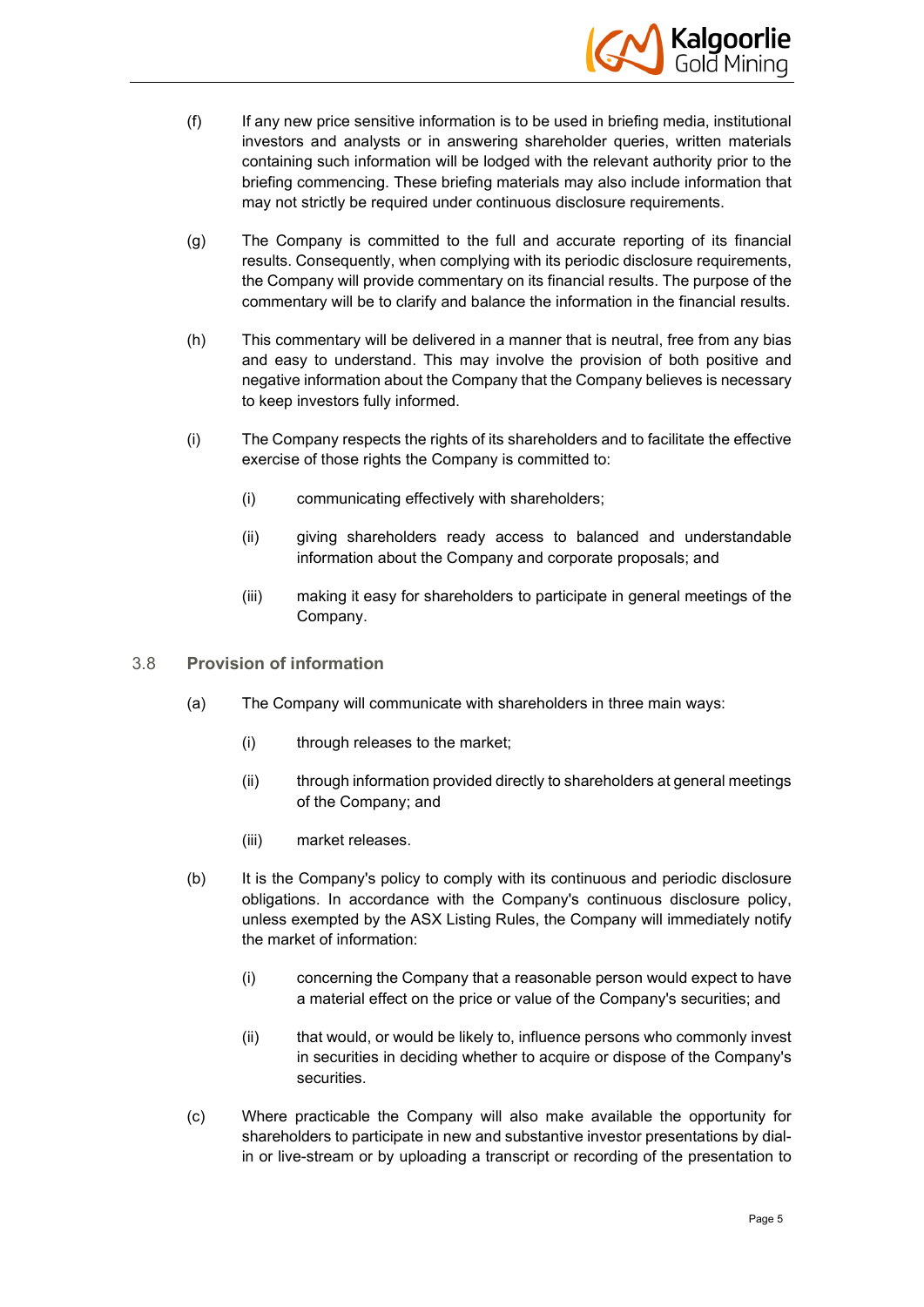

- (f) If any new price sensitive information is to be used in briefing media, institutional investors and analysts or in answering shareholder queries, written materials containing such information will be lodged with the relevant authority prior to the briefing commencing. These briefing materials may also include information that may not strictly be required under continuous disclosure requirements.
- (g) The Company is committed to the full and accurate reporting of its financial results. Consequently, when complying with its periodic disclosure requirements, the Company will provide commentary on its financial results. The purpose of the commentary will be to clarify and balance the information in the financial results.
- (h) This commentary will be delivered in a manner that is neutral, free from any bias and easy to understand. This may involve the provision of both positive and negative information about the Company that the Company believes is necessary to keep investors fully informed.
- (i) The Company respects the rights of its shareholders and to facilitate the effective exercise of those rights the Company is committed to:
	- (i) communicating effectively with shareholders;
	- (ii) giving shareholders ready access to balanced and understandable information about the Company and corporate proposals; and
	- (iii) making it easy for shareholders to participate in general meetings of the Company.
- 3.8 **Provision of information**
	- (a) The Company will communicate with shareholders in three main ways:
		- (i) through releases to the market;
		- (ii) through information provided directly to shareholders at general meetings of the Company; and
		- (iii) market releases.
	- (b) It is the Company's policy to comply with its continuous and periodic disclosure obligations. In accordance with the Company's continuous disclosure policy, unless exempted by the ASX Listing Rules, the Company will immediately notify the market of information:
		- (i) concerning the Company that a reasonable person would expect to have a material effect on the price or value of the Company's securities; and
		- (ii) that would, or would be likely to, influence persons who commonly invest in securities in deciding whether to acquire or dispose of the Company's securities.
	- (c) Where practicable the Company will also make available the opportunity for shareholders to participate in new and substantive investor presentations by dialin or live-stream or by uploading a transcript or recording of the presentation to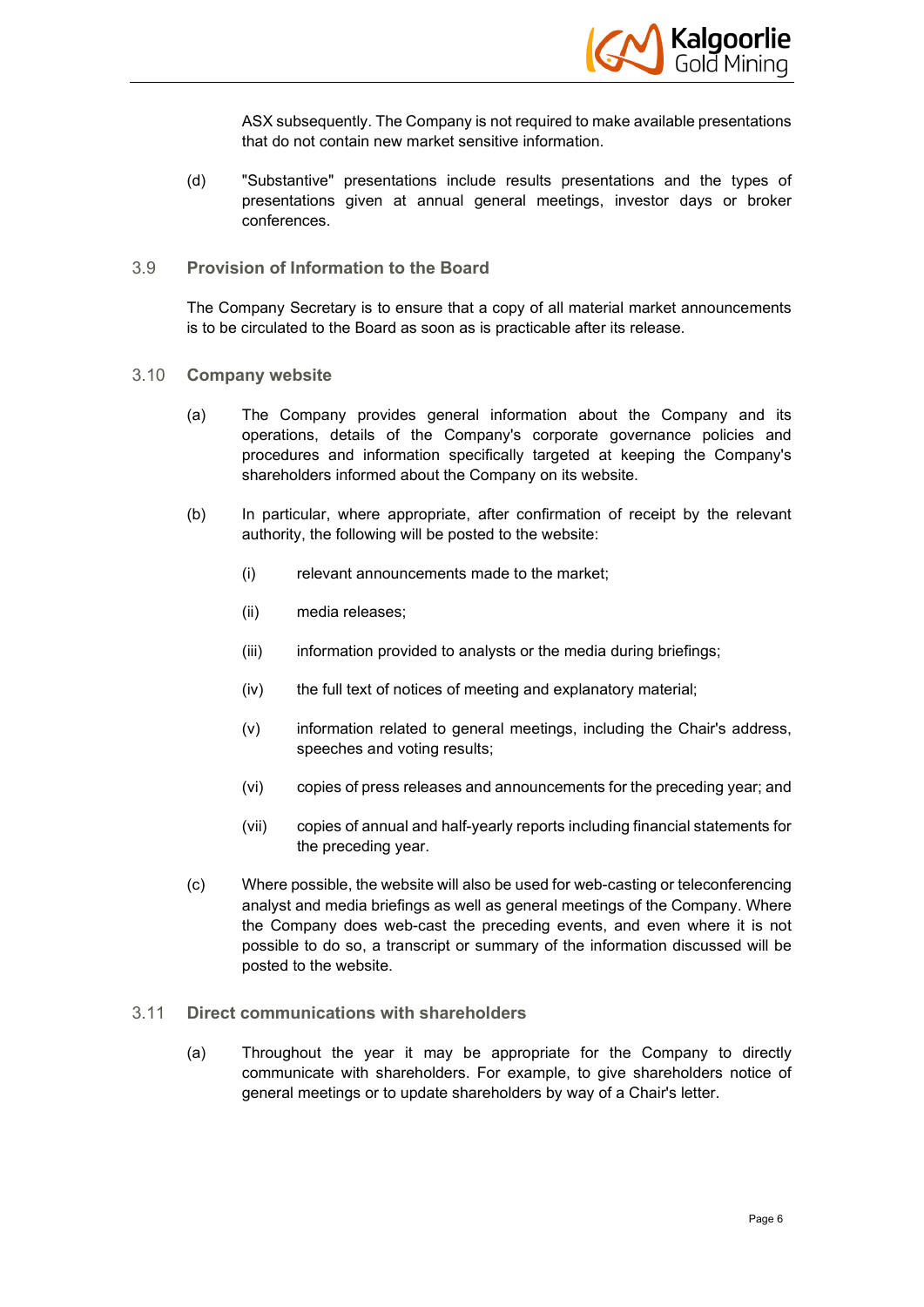

ASX subsequently. The Company is not required to make available presentations that do not contain new market sensitive information.

- (d) "Substantive" presentations include results presentations and the types of presentations given at annual general meetings, investor days or broker conferences.
- 3.9 **Provision of Information to the Board**

The Company Secretary is to ensure that a copy of all material market announcements is to be circulated to the Board as soon as is practicable after its release.

- 3.10 **Company website**
	- (a) The Company provides general information about the Company and its operations, details of the Company's corporate governance policies and procedures and information specifically targeted at keeping the Company's shareholders informed about the Company on its website.
	- (b) In particular, where appropriate, after confirmation of receipt by the relevant authority, the following will be posted to the website:
		- (i) relevant announcements made to the market;
		- (ii) media releases;
		- (iii) information provided to analysts or the media during briefings;
		- (iv) the full text of notices of meeting and explanatory material;
		- (v) information related to general meetings, including the Chair's address, speeches and voting results;
		- (vi) copies of press releases and announcements for the preceding year; and
		- (vii) copies of annual and half-yearly reports including financial statements for the preceding year.
	- (c) Where possible, the website will also be used for web-casting or teleconferencing analyst and media briefings as well as general meetings of the Company. Where the Company does web-cast the preceding events, and even where it is not possible to do so, a transcript or summary of the information discussed will be posted to the website.

#### 3.11 **Direct communications with shareholders**

(a) Throughout the year it may be appropriate for the Company to directly communicate with shareholders. For example, to give shareholders notice of general meetings or to update shareholders by way of a Chair's letter.